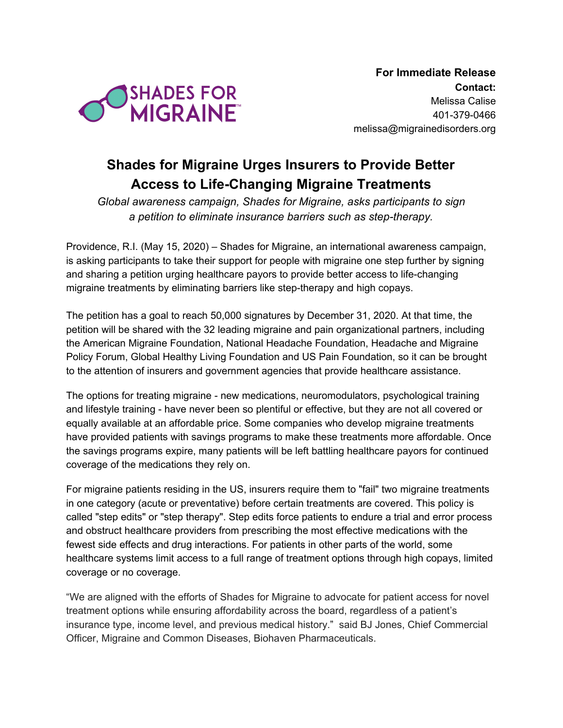

**For Immediate Release Contact:** Melissa Calise 401-379-0466 melissa@migrainedisorders.org

## **Shades for Migraine Urges Insurers to Provide Better Access to Life-Changing Migraine Treatments**

*Global awareness campaign, Shades for Migraine, asks participants to sign a petition to eliminate insurance barriers such as step-therapy.*

Providence, R.I. (May 15, 2020) – Shades for Migraine, an international awareness campaign, is asking participants to take their support for people with migraine one step further by signing and sharing a petition urging healthcare payors to provide better access to life-changing migraine treatments by eliminating barriers like step-therapy and high copays.

The petition has a goal to reach 50,000 signatures by December 31, 2020. At that time, the petition will be shared with the 32 leading migraine and pain organizational partners, including the American Migraine Foundation, National Headache Foundation, Headache and Migraine Policy Forum, Global Healthy Living Foundation and US Pain Foundation, so it can be brought to the attention of insurers and government agencies that provide healthcare assistance.

The options for treating migraine - new medications, neuromodulators, psychological training and lifestyle training - have never been so plentiful or effective, but they are not all covered or equally available at an affordable price. Some companies who develop migraine treatments have provided patients with savings programs to make these treatments more affordable. Once the savings programs expire, many patients will be left battling healthcare payors for continued coverage of the medications they rely on.

For migraine patients residing in the US, insurers require them to "fail" two migraine treatments in one category (acute or preventative) before certain treatments are covered. This policy is called "step edits" or "step therapy". Step edits force patients to endure a trial and error process and obstruct healthcare providers from prescribing the most effective medications with the fewest side effects and drug interactions. For patients in other parts of the world, some healthcare systems limit access to a full range of treatment options through high copays, limited coverage or no coverage.

"We are aligned with the efforts of Shades for Migraine to advocate for patient access for novel treatment options while ensuring affordability across the board, regardless of a patient's insurance type, income level, and previous medical history." said BJ Jones, Chief Commercial Officer, Migraine and Common Diseases, Biohaven Pharmaceuticals.